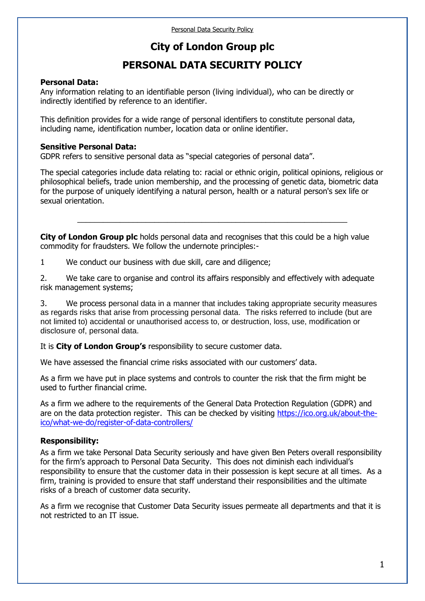# **City of London Group plc**

# **PERSONAL DATA SECURITY POLICY**

#### **Personal Data:**

Any information relating to an identifiable person (living individual), who can be directly or indirectly identified by reference to an identifier.

This definition provides for a wide range of personal identifiers to constitute personal data, including name, identification number, location data or online identifier.

#### **Sensitive Personal Data:**

GDPR refers to sensitive personal data as "special categories of personal data".

The special categories include data relating to: racial or ethnic origin, political opinions, religious or philosophical beliefs, trade union membership, and the processing of genetic data, biometric data for the purpose of uniquely identifying a natural person, health or a natural person's sex life or sexual orientation.

\_\_\_\_\_\_\_\_\_\_\_\_\_\_\_\_\_\_\_\_\_\_\_\_\_\_\_\_\_\_\_\_\_\_\_\_\_\_\_\_\_\_\_\_\_\_\_\_\_\_\_\_\_\_\_\_\_\_\_\_\_\_\_

**City of London Group plc** holds personal data and recognises that this could be a high value commodity for fraudsters. We follow the undernote principles:-

1 We conduct our business with due skill, care and diligence;

2. We take care to organise and control its affairs responsibly and effectively with adequate risk management systems;

3. We process personal data in a manner that includes taking appropriate security measures as regards risks that arise from processing personal data. The risks referred to include (but are not limited to) accidental or unauthorised access to, or destruction, loss, use, modification or disclosure of, personal data.

It is **City of London Group's** responsibility to secure customer data.

We have assessed the financial crime risks associated with our customers' data.

As a firm we have put in place systems and controls to counter the risk that the firm might be used to further financial crime.

As a firm we adhere to the requirements of the General Data Protection Regulation (GDPR) and are on the data protection register. This can be checked by visiting [https://ico.org.uk/about-the](https://ico.org.uk/about-the-ico/what-we-do/register-of-data-controllers/)[ico/what-we-do/register-of-data-controllers/](https://ico.org.uk/about-the-ico/what-we-do/register-of-data-controllers/)

## **Responsibility:**

As a firm we take Personal Data Security seriously and have given Ben Peters overall responsibility for the firm's approach to Personal Data Security. This does not diminish each individual's responsibility to ensure that the customer data in their possession is kept secure at all times. As a firm, training is provided to ensure that staff understand their responsibilities and the ultimate risks of a breach of customer data security.

As a firm we recognise that Customer Data Security issues permeate all departments and that it is not restricted to an IT issue.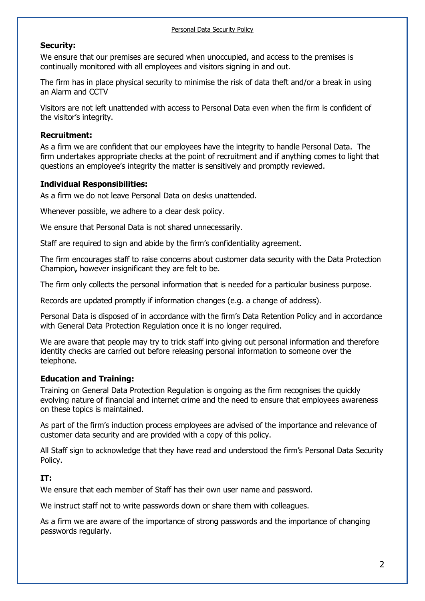#### **Security:**

We ensure that our premises are secured when unoccupied, and access to the premises is continually monitored with all employees and visitors signing in and out.

The firm has in place physical security to minimise the risk of data theft and/or a break in using an Alarm and CCTV

Visitors are not left unattended with access to Personal Data even when the firm is confident of the visitor's integrity.

#### **Recruitment:**

As a firm we are confident that our employees have the integrity to handle Personal Data. The firm undertakes appropriate checks at the point of recruitment and if anything comes to light that questions an employee's integrity the matter is sensitively and promptly reviewed.

## **Individual Responsibilities:**

As a firm we do not leave Personal Data on desks unattended.

Whenever possible, we adhere to a clear desk policy.

We ensure that Personal Data is not shared unnecessarily.

Staff are required to sign and abide by the firm's confidentiality agreement.

The firm encourages staff to raise concerns about customer data security with the Data Protection Champion**,** however insignificant they are felt to be.

The firm only collects the personal information that is needed for a particular business purpose.

Records are updated promptly if information changes (e.g. a change of address).

Personal Data is disposed of in accordance with the firm's Data Retention Policy and in accordance with General Data Protection Regulation once it is no longer required.

We are aware that people may try to trick staff into giving out personal information and therefore identity checks are carried out before releasing personal information to someone over the telephone.

## **Education and Training:**

Training on General Data Protection Regulation is ongoing as the firm recognises the quickly evolving nature of financial and internet crime and the need to ensure that employees awareness on these topics is maintained.

As part of the firm's induction process employees are advised of the importance and relevance of customer data security and are provided with a copy of this policy.

All Staff sign to acknowledge that they have read and understood the firm's Personal Data Security Policy.

## **IT:**

We ensure that each member of Staff has their own user name and password.

We instruct staff not to write passwords down or share them with colleagues.

As a firm we are aware of the importance of strong passwords and the importance of changing passwords regularly.